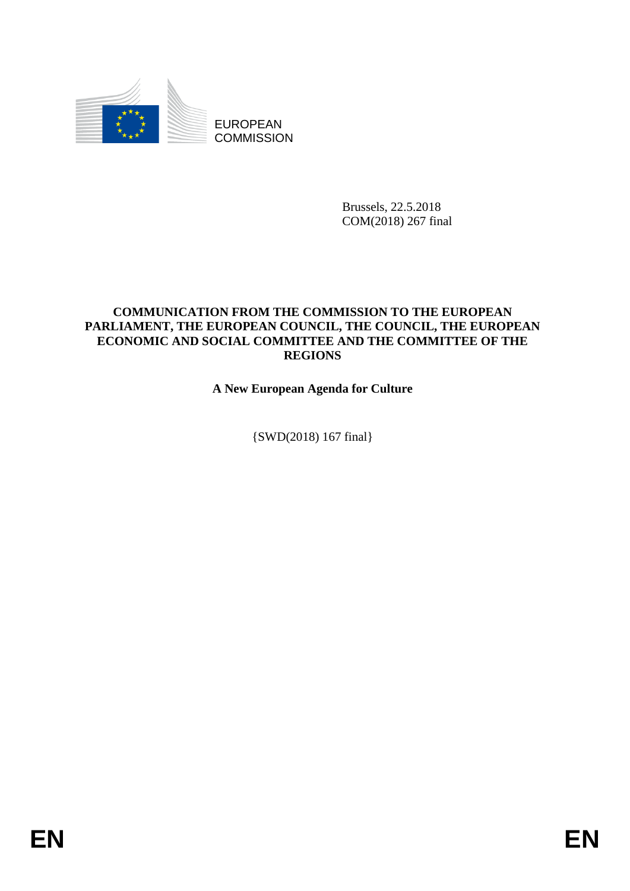

Brussels, 22.5.2018 COM(2018) 267 final

## **COMMUNICATION FROM THE COMMISSION TO THE EUROPEAN PARLIAMENT, THE EUROPEAN COUNCIL, THE COUNCIL, THE EUROPEAN ECONOMIC AND SOCIAL COMMITTEE AND THE COMMITTEE OF THE REGIONS**

**A New European Agenda for Culture**

{SWD(2018) 167 final}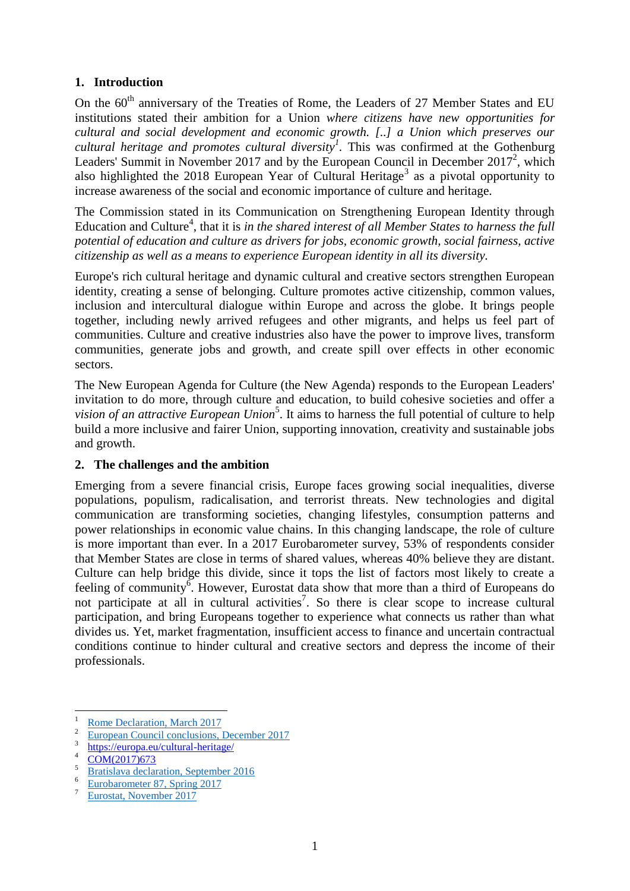## **1. Introduction**

On the  $60<sup>th</sup>$  anniversary of the Treaties of Rome, the Leaders of 27 Member States and EU institutions stated their ambition for a Union *where citizens have new opportunities for cultural and social development and economic growth. [..] a Union which preserves our cultural heritage and promotes cultural diversity<sup>1</sup> .* This was confirmed at the Gothenburg Leaders' Summit in November 2017 and by the European Council in December  $2017^2$ , which also highlighted the 2018 European Year of Cultural Heritage<sup>3</sup> as a pivotal opportunity to increase awareness of the social and economic importance of culture and heritage.

<span id="page-1-1"></span><span id="page-1-0"></span>The Commission stated in its Communication on Strengthening European Identity through Education and Culture<sup>4</sup>, that it is *in the shared interest of all Member States to harness the full potential of education and culture as drivers for jobs, economic growth, social fairness, active citizenship as well as a means to experience European identity in all its diversity.*

Europe's rich cultural heritage and dynamic cultural and creative sectors strengthen European identity, creating a sense of belonging. Culture promotes active citizenship, common values, inclusion and intercultural dialogue within Europe and across the globe. It brings people together, including newly arrived refugees and other migrants, and helps us feel part of communities. Culture and creative industries also have the power to improve lives, transform communities, generate jobs and growth, and create spill over effects in other economic sectors.

The New European Agenda for Culture (the New Agenda) responds to the European Leaders' invitation to do more, through culture and education, to build cohesive societies and offer a vision of an attractive European Union<sup>5</sup>. It aims to harness the full potential of culture to help build a more inclusive and fairer Union, supporting innovation, creativity and sustainable jobs and growth.

### **2. The challenges and the ambition**

Emerging from a severe financial crisis, Europe faces growing social inequalities, diverse populations, populism, radicalisation, and terrorist threats. New technologies and digital communication are transforming societies, changing lifestyles, consumption patterns and power relationships in economic value chains. In this changing landscape, the role of culture is more important than ever. In a 2017 Eurobarometer survey, 53% of respondents consider that Member States are close in terms of shared values, whereas 40% believe they are distant. Culture can help bridge this divide, since it tops the list of factors most likely to create a feeling of community<sup>6</sup>. However, Eurostat data show that more than a third of Europeans do not participate at all in cultural activities<sup>7</sup>. So there is clear scope to increase cultural participation, and bring Europeans together to experience what connects us rather than what divides us. Yet, market fragmentation, insufficient access to finance and uncertain contractual conditions continue to hinder cultural and creative sectors and depress the income of their professionals.

 $\mathbf{1}$  $\frac{1}{2}$  [Rome Declaration, March 2017](http://www.consilium.europa.eu/en/press/press-releases/2017/03/25/rome-declaration/)

<sup>2</sup> [European Council conclusions, December 2017](http://www.consilium.europa.eu/en/press/press-releases/2017/12/14/european-council-conclusions-external-relations/)

<sup>3</sup> <https://europa.eu/cultural-heritage/>

 $\frac{4}{5}$   $\frac{\text{COM}(2017)673}{\text{Pertialave declet}}$ 

 $\frac{5}{6}$  [Bratislava declaration, September 2016](http://www.consilium.europa.eu/en/press/press-releases/2016/09/16/bratislava-declaration-and-roadmap/)

[Eurobarometer 87, Spring 2017](http://ec.europa.eu/commfrontoffice/publicopinion/index.cfm/Survey/getSurveyDetail/instruments/STANDARD/surveyKy/2142)

<sup>7</sup> [Eurostat, November 2017](http://ec.europa.eu/eurostat/statistics-explained/index.php/Culture_statistics_-_cultural_participation_by_socioeconomic_background)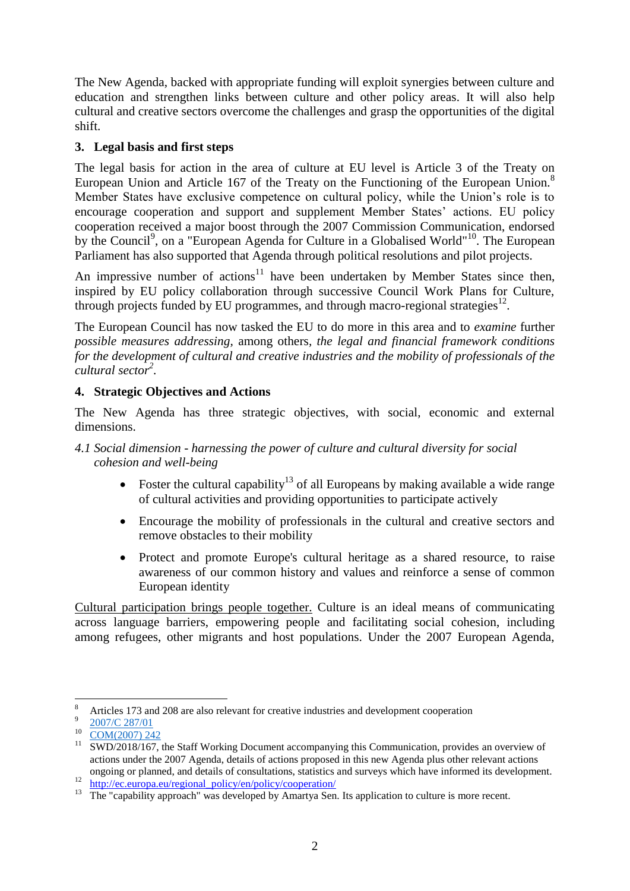The New Agenda, backed with appropriate funding will exploit synergies between culture and education and strengthen links between culture and other policy areas. It will also help cultural and creative sectors overcome the challenges and grasp the opportunities of the digital shift.

# **3. Legal basis and first steps**

The legal basis for action in the area of culture at EU level is Article 3 of the Treaty on European Union and Article 167 of the Treaty on the Functioning of the European Union.<sup>8</sup> Member States have exclusive competence on cultural policy, while the Union's role is to encourage cooperation and support and supplement Member States' actions. EU policy cooperation received a major boost through the 2007 Commission Communication, endorsed by the Council<sup>9</sup>, on a "European Agenda for Culture in a Globalised World"<sup>10</sup>. The European Parliament has also supported that Agenda through political resolutions and pilot projects.

An impressive number of actions<sup>11</sup> have been undertaken by Member States since then, inspired by EU policy collaboration through successive Council Work Plans for Culture, through projects funded by EU programmes, and through macro-regional strategies $^{12}$ .

The European Council has now tasked the EU to do more in this area and to *examine* further *possible measures addressing,* among others*, the legal and financial framework conditions for the development of cultural and creative industries and the mobility of professionals of the cultural sector[2](#page-1-0) .*

# **4. Strategic Objectives and Actions**

The New Agenda has three strategic objectives, with social, economic and external dimensions.

## *4.1 Social dimension - harnessing the power of culture and cultural diversity for social cohesion and well-being*

- Foster the cultural capability<sup>13</sup> of all Europeans by making available a wide range of cultural activities and providing opportunities to participate actively
- Encourage the mobility of professionals in the cultural and creative sectors and remove obstacles to their mobility
- Protect and promote Europe's cultural heritage as a shared resource, to raise awareness of our common history and values and reinforce a sense of common European identity

Cultural participation brings people together. Culture is an ideal means of communicating across language barriers, empowering people and facilitating social cohesion, including among refugees, other migrants and host populations. Under the 2007 European Agenda,

 $\overline{8}$ <sup>8</sup> Articles 173 and 208 are also relevant for creative industries and development cooperation

 $\overline{9}$ [2007/C 287/01](http://eur-lex.europa.eu/legal-content/EN/TXT/?uri=CELEX:32007G1129%2801%29)

 $\frac{10}{11} \frac{COM(2007) 242}{SWD/2018/167}$  $\frac{10}{11} \frac{COM(2007) 242}{SWD/2018/167}$  $\frac{10}{11} \frac{COM(2007) 242}{SWD/2018/167}$ 

<sup>11</sup> SWD/2018/167, the Staff Working Document accompanying this Communication, provides an overview of actions under the 2007 Agenda, details of actions proposed in this new Agenda plus other relevant actions ongoing or planned, and details of consultations, statistics and surveys which have informed its development.

<sup>&</sup>lt;sup>12</sup> [http://ec.europa.eu/regional\\_policy/en/policy/cooperation/](http://ec.europa.eu/regional_policy/en/policy/cooperation/)

<sup>&</sup>lt;sup>13</sup> The "capability approach" was developed by Amartya Sen. Its application to culture is more recent.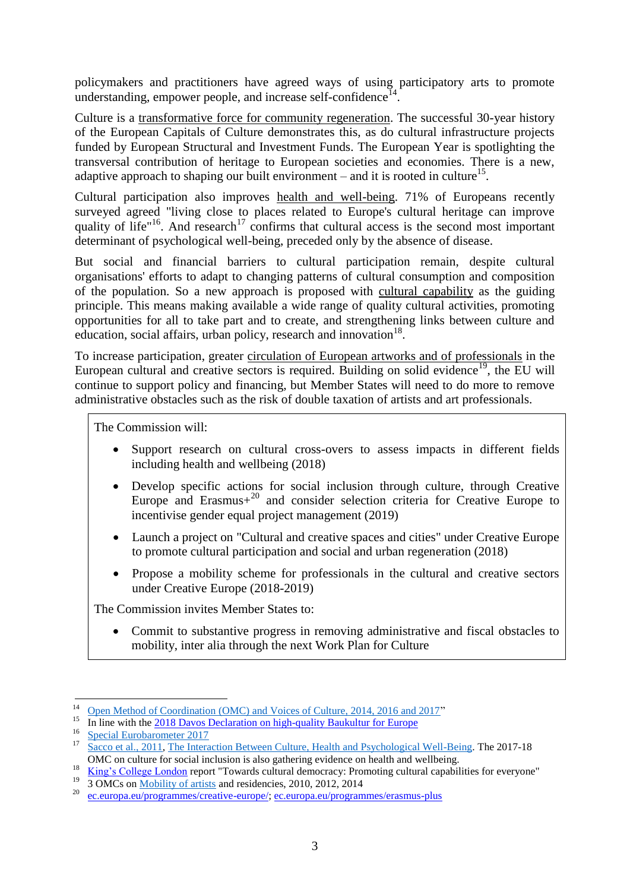policymakers and practitioners have agreed ways of using participatory arts to promote understanding, empower people, and increase self-confidence $1^4$ .

Culture is a transformative force for community regeneration. The successful 30-year history of the European Capitals of Culture demonstrates this, as do cultural infrastructure projects funded by European Structural and Investment Funds. The European Year is spotlighting the transversal contribution of heritage to European societies and economies. There is a new, adaptive approach to shaping our built environment  $-$  and it is rooted in culture<sup>15</sup>.

Cultural participation also improves health and well-being. 71% of Europeans recently surveyed agreed "living close to places related to Europe's cultural heritage can improve quality of life"<sup>16</sup>. And research<sup>17</sup> confirms that cultural access is the second most important determinant of psychological well-being, preceded only by the absence of disease.

But social and financial barriers to cultural participation remain, despite cultural organisations' efforts to adapt to changing patterns of cultural consumption and composition of the population. So a new approach is proposed with cultural capability as the guiding principle. This means making available a wide range of quality cultural activities, promoting opportunities for all to take part and to create, and strengthening links between culture and education, social affairs, urban policy, research and innovation $18$ .

To increase participation, greater circulation of European artworks and of professionals in the European cultural and creative sectors is required. Building on solid evidence<sup>19</sup>, the EU will continue to support policy and financing, but Member States will need to do more to remove administrative obstacles such as the risk of double taxation of artists and art professionals.

The Commission will:

- Support research on cultural cross-overs to assess impacts in different fields including health and wellbeing (2018)
- Develop specific actions for social inclusion through culture, through Creative Europe and Erasmus $+^{20}$  and consider selection criteria for Creative Europe to incentivise gender equal project management (2019)
- Launch a project on "Cultural and creative spaces and cities" under Creative Europe to promote cultural participation and social and urban regeneration (2018)
- Propose a mobility scheme for professionals in the cultural and creative sectors under Creative Europe (2018-2019)

The Commission invites Member States to:

 Commit to substantive progress in removing administrative and fiscal obstacles to mobility, inter alia through the next Work Plan for Culture

 $14$ <sup>14</sup> [Open Method of Coordination \(OMC\) and Voices of Culture, 2014, 2016 and 2017"](https://ec.europa.eu/culture/policy/strategic-framework/intercultural-dialogue_en)

<sup>15</sup> In line with the 2018 Davos Declaration [on high-quality Baukultur for Europe](https://www.newsd.admin.ch/newsd/message/attachments/51119.pdf)

 $\frac{16}{17}$  [Special Eurobarometer 2017](http://europa.eu/cultural-heritage/toolkits/special-eurobarometer-europeans-and-cultural-heritage_en)

Sacco et al., 2011[, The Interaction Between Culture, Health and Psychological Well-Being.](https://www.researchgate.net/publication/226193693_The_Interaction_Between_Culture_Health_and_Psychological_Well-Being_Project) The 2017-18 OMC on culture for social inclusion is also gathering evidence on health and wellbeing.

<sup>&</sup>lt;sup>18</sup> [King's College London](https://www.kcl.ac.uk/Cultural/-/Projects/Towards-cultural-democracy.aspx) report "Towards cultural democracy: Promoting cultural capabilities for everyone" <sup>19</sup>  $\overline{3 \text{ OMCs}}$  on [Mobility of artists](https://ec.europa.eu/culture/policy/cultural-creative-industries/mobility_en) and residencies, 2010, 2012, 2014

<sup>20</sup> [ec.europa.eu/programmes/creative-europe/;](https://ec.europa.eu/programmes/creative-europe/) [ec.europa.eu/programmes/erasmus-plus](file:///C:/Users/zampiwa/AppData/Local/Microsoft/Windows/INetCache/Content.Outlook/IAUD9B1X/ec.europa.eu/programmes/erasmus-plus)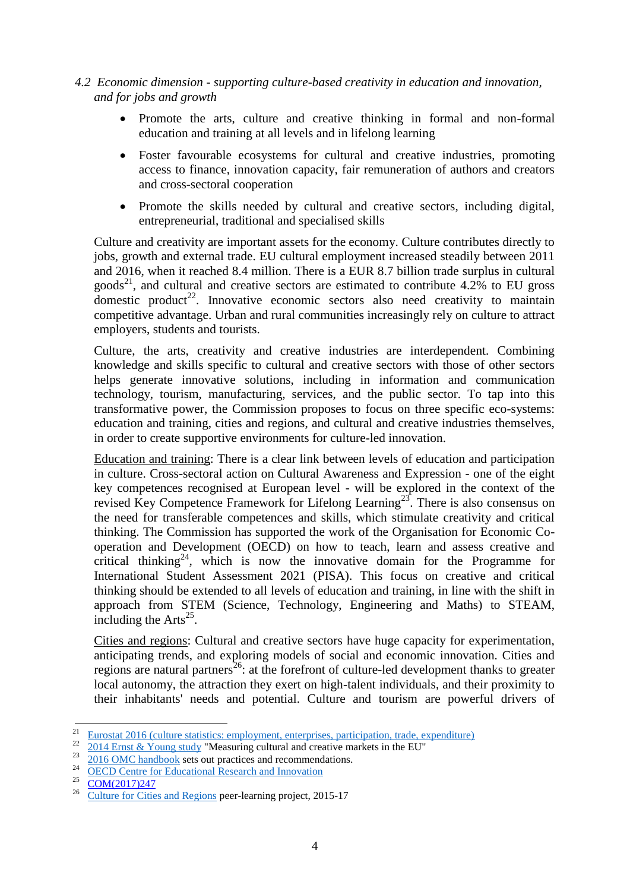- *4.2 Economic dimension - supporting culture-based creativity in education and innovation, and for jobs and growth*
	- Promote the arts, culture and creative thinking in formal and non-formal education and training at all levels and in lifelong learning
	- Foster favourable ecosystems for cultural and creative industries, promoting access to finance, innovation capacity, fair remuneration of authors and creators and cross-sectoral cooperation
	- Promote the skills needed by cultural and creative sectors, including digital, entrepreneurial, traditional and specialised skills

Culture and creativity are important assets for the economy. Culture contributes directly to jobs, growth and external trade. EU cultural employment increased steadily between 2011 and 2016, when it reached 8.4 million. There is a EUR 8.7 billion trade surplus in cultural goods<sup>21</sup>, and cultural and creative sectors are estimated to contribute 4.2% to EU gross domestic product<sup>22</sup>. Innovative economic sectors also need creativity to maintain competitive advantage. Urban and rural communities increasingly rely on culture to attract employers, students and tourists.

Culture, the arts, creativity and creative industries are interdependent. Combining knowledge and skills specific to cultural and creative sectors with those of other sectors helps generate innovative solutions, including in information and communication technology, tourism, manufacturing, services, and the public sector. To tap into this transformative power, the Commission proposes to focus on three specific eco-systems: education and training, cities and regions, and cultural and creative industries themselves, in order to create supportive environments for culture-led innovation.

Education and training: There is a clear link between levels of education and participation in culture. Cross-sectoral action on Cultural Awareness and Expression - one of the eight key competences recognised at European level - will be explored in the context of the revised Key Competence Framework for Lifelong Learning<sup>23</sup>. There is also consensus on the need for transferable competences and skills, which stimulate creativity and critical thinking. The Commission has supported the work of the Organisation for Economic Cooperation and Development (OECD) on how to teach, learn and assess creative and critical thinking<sup>24</sup>, which is now the innovative domain for the Programme for International Student Assessment 2021 (PISA). This focus on creative and critical thinking should be extended to all levels of education and training, in line with the shift in approach from STEM (Science, Technology, Engineering and Maths) to STEAM, including the  $Arts^{25}$ .

Cities and regions: Cultural and creative sectors have huge capacity for experimentation, anticipating trends, and exploring models of social and economic innovation. Cities and regions are natural partners<sup>26</sup>: at the forefront of culture-led development thanks to greater local autonomy, the attraction they exert on high-talent individuals, and their proximity to their inhabitants' needs and potential. Culture and tourism are powerful drivers of

**.** 

<sup>&</sup>lt;sup>21</sup> [Eurostat 2016](http://ec.europa.eu/eurostat/statistics-explained/index.php/Category:Culture) (culture statistics: employment, enterprises, participation, trade, expenditure)

 $\frac{22}{2014}$  Ernst & Young study "Measuring cultural and creative markets in the EU"

 $\frac{23}{24}$   $\frac{2016 \text{ OMC} \text{ handbook}}{ \text{OECD} \text{ Centre for Education}}$  Becognized and Innovation

<sup>&</sup>lt;sup>24</sup> [OECD Centre for Educational Research and Innovation](http://www.oecd.org/education/ceri/assessingprogressionincreativeandcriticalthinkingskillsineducation.htm)

 $\frac{25}{26}$  [COM\(2017\)247](https://eur-lex.europa.eu/legal-content/EN/TXT/?uri=COM%3A2017%3A247%3AFIN)

<sup>26</sup> [Culture for Cities and Regions](http://www.cultureforcitiesandregions.eu/) peer-learning project, 2015-17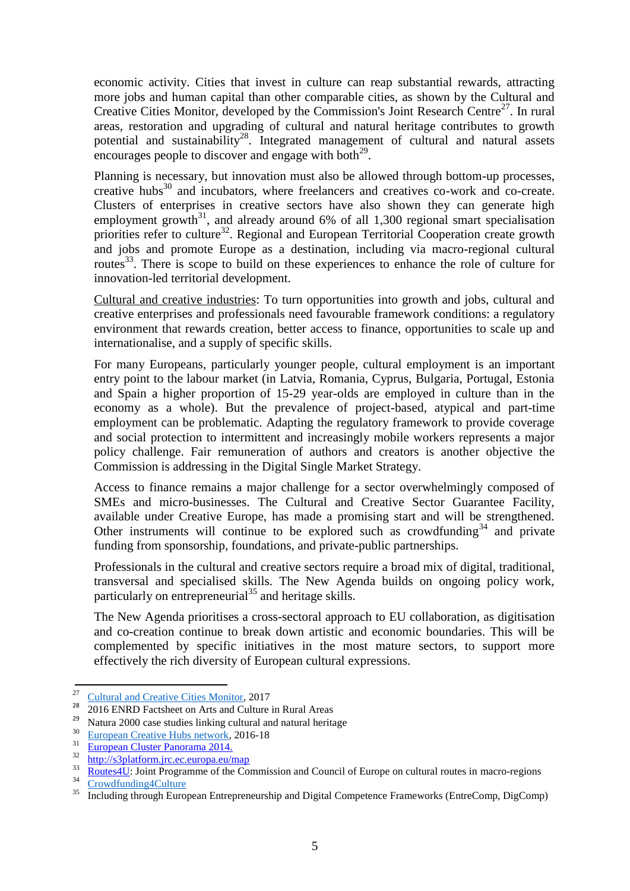economic activity. Cities that invest in culture can reap substantial rewards, attracting more jobs and human capital than other comparable cities, as shown by the Cultural and Creative Cities Monitor, developed by the Commission's Joint Research Centre<sup>27</sup>. In rural areas, restoration and upgrading of cultural and natural heritage contributes to growth potential and sustainability<sup>28</sup>. Integrated management of cultural and natural assets encourages people to discover and engage with both $^{29}$ .

Planning is necessary, but innovation must also be allowed through bottom-up processes, creative hubs<sup>30</sup> and incubators, where freelancers and creatives co-work and co-create. Clusters of enterprises in creative sectors have also shown they can generate high employment growth $31$ , and already around 6% of all 1,300 regional smart specialisation priorities refer to culture<sup>32</sup>. Regional and European Territorial Cooperation create growth and jobs and promote Europe as a destination, including via macro-regional cultural routes<sup>33</sup>. There is scope to build on these experiences to enhance the role of culture for innovation-led territorial development.

Cultural and creative industries: To turn opportunities into growth and jobs, cultural and creative enterprises and professionals need favourable framework conditions: a regulatory environment that rewards creation, better access to finance, opportunities to scale up and internationalise, and a supply of specific skills.

For many Europeans, particularly younger people, cultural employment is an important entry point to the labour market (in Latvia, Romania, Cyprus, Bulgaria, Portugal, Estonia and Spain a higher proportion of 15-29 year-olds are employed in culture than in the economy as a whole). But the prevalence of project-based, atypical and part-time employment can be problematic. Adapting the regulatory framework to provide coverage and social protection to intermittent and increasingly mobile workers represents a major policy challenge. Fair remuneration of authors and creators is another objective the Commission is addressing in the Digital Single Market Strategy.

Access to finance remains a major challenge for a sector overwhelmingly composed of SMEs and micro-businesses. The Cultural and Creative Sector Guarantee Facility, available under Creative Europe, has made a promising start and will be strengthened. Other instruments will continue to be explored such as crowdfunding  $34$  and private funding from sponsorship, foundations, and private-public partnerships.

Professionals in the cultural and creative sectors require a broad mix of digital, traditional, transversal and specialised skills. The New Agenda builds on ongoing policy work, particularly on entrepreneurial $^{35}$  and heritage skills.

The New Agenda prioritises a cross-sectoral approach to EU collaboration, as digitisation and co-creation continue to break down artistic and economic boundaries. This will be complemented by specific initiatives in the most mature sectors, to support more effectively the rich diversity of European cultural expressions.

 $\overline{a}$ 

 $\frac{27}{28}$  [Cultural and Creative Cities Monitor,](https://ec.europa.eu/jrc/en/publication/eur-scientific-and-technical-research-reports/cultural-and-creative-cities-monitor-2017-edition) 2017

<sup>&</sup>lt;sup>28</sup> 2016 ENRD [Factsheet on Arts and Culture in Rural Areas](https://enrd.ec.europa.eu/sites/enrd/files/nrn5_arts-rural-areas_factsheet.pdf)

<sup>29</sup> [Natura 2000](http://ec.europa.eu/environment/nature/natura2000/management/links_natural_cultural_heritage_en.htm) case studies linking cultural and natural heritage

 $rac{30}{5}$  [European Creative Hubs network,](https://www.creativehubs.eu/) 2016-18

 $rac{31}{32}$  [European Cluster Panorama 2014.](http://ec.europa.eu/DocsRoom/documents/7242/attachments/1/translations/en/renditions/pdf)

 $\frac{32}{33}$  <http://s3platform.jrc.ec.europa.eu/map><br> $\frac{33}{12}$  Boutes 4.11. Joint Programme of the Con-

 $\frac{33}{24}$  [Routes4U:](https://www.coe.int/en/web/cultural-routes/eu-jp-2017-20) Joint Programme of the Commission and Council of Europe on cultural routes in macro-regions

 $rac{34}{35}$  Crowdfunding 4 Culture

<sup>35</sup> Including through European Entrepreneurship and Digital Competence Frameworks (EntreComp, DigComp)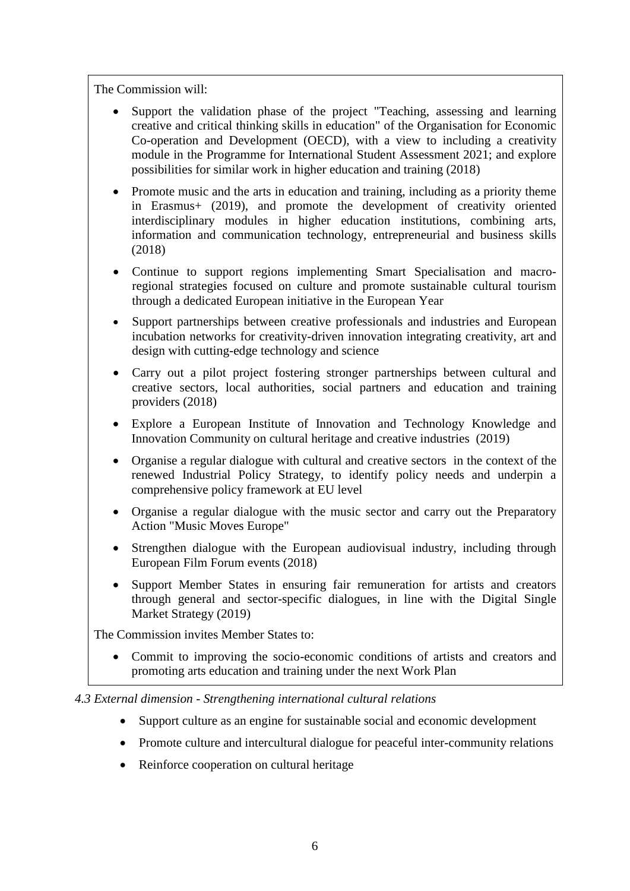The Commission will:

- Support the validation phase of the project "Teaching, assessing and learning creative and critical thinking skills in education" of the Organisation for Economic Co-operation and Development (OECD), with a view to including a creativity module in the Programme for International Student Assessment 2021; and explore possibilities for similar work in higher education and training (2018)
- Promote music and the arts in education and training, including as a priority theme in Erasmus+ (2019), and promote the development of creativity oriented interdisciplinary modules in higher education institutions, combining arts, information and communication technology, entrepreneurial and business skills (2018)
- Continue to support regions implementing Smart Specialisation and macroregional strategies focused on culture and promote sustainable cultural tourism through a dedicated European initiative in the European Year
- Support partnerships between creative professionals and industries and European incubation networks for creativity-driven innovation integrating creativity, art and design with cutting-edge technology and science
- Carry out a pilot project fostering stronger partnerships between cultural and creative sectors, local authorities, social partners and education and training providers (2018)
- Explore a European Institute of Innovation and Technology Knowledge and Innovation Community on cultural heritage and creative industries (2019)
- Organise a regular dialogue with cultural and creative sectors in the context of the renewed Industrial Policy Strategy, to identify policy needs and underpin a comprehensive policy framework at EU level
- Organise a regular dialogue with the music sector and carry out the Preparatory Action "Music Moves Europe"
- Strengthen dialogue with the European audiovisual industry, including through European Film Forum events (2018)
- Support Member States in ensuring fair remuneration for artists and creators through general and sector-specific dialogues, in line with the Digital Single Market Strategy (2019)

The Commission invites Member States to:

 Commit to improving the socio-economic conditions of artists and creators and promoting arts education and training under the next Work Plan

### *4.3 External dimension - Strengthening international cultural relations*

- Support culture as an engine for sustainable social and economic development
- Promote culture and intercultural dialogue for peaceful inter-community relations
- Reinforce cooperation on cultural heritage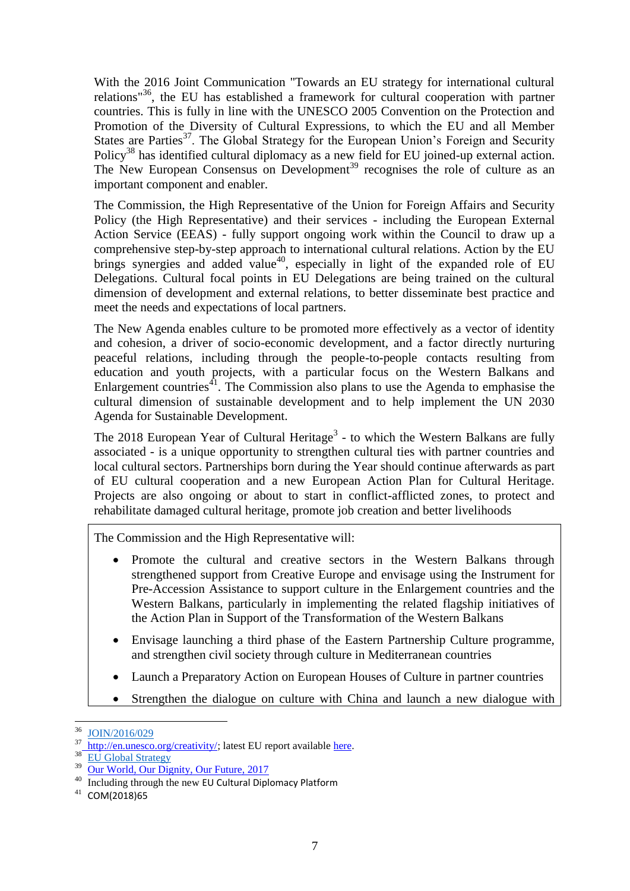With the 2016 Joint Communication "Towards an EU strategy for international cultural relations"<sup>36</sup>, the EU has established a framework for cultural cooperation with partner countries. This is fully in line with the UNESCO 2005 Convention on the Protection and Promotion of the Diversity of Cultural Expressions, to which the EU and all Member States are Parties<sup>37</sup>. The Global Strategy for the European Union's Foreign and Security Policy<sup>38</sup> has identified cultural diplomacy as a new field for EU joined-up external action. The New European Consensus on Development<sup>39</sup> recognises the role of culture as an important component and enabler.

The Commission, the High Representative of the Union for Foreign Affairs and Security Policy (the High Representative) and their services - including the European External Action Service (EEAS) - fully support ongoing work within the Council to draw up a comprehensive step-by-step approach to international cultural relations. Action by the EU brings synergies and added value<sup>40</sup>, especially in light of the expanded role of EU Delegations. Cultural focal points in EU Delegations are being trained on the cultural dimension of development and external relations, to better disseminate best practice and meet the needs and expectations of local partners.

The New Agenda enables culture to be promoted more effectively as a vector of identity and cohesion, a driver of socio-economic development, and a factor directly nurturing peaceful relations, including through the people-to-people contacts resulting from education and youth projects, with a particular focus on the Western Balkans and Enlargement countries<sup> $4$ </sup>. The Commission also plans to use the Agenda to emphasise the cultural dimension of sustainable development and to help implement the UN 2030 Agenda for Sustainable Development.

The 2018 European Year of Cultural Heritage<sup>[3](#page-1-1)</sup> - to which the Western Balkans are fully associated - is a unique opportunity to strengthen cultural ties with partner countries and local cultural sectors. Partnerships born during the Year should continue afterwards as part of EU cultural cooperation and a new European Action Plan for Cultural Heritage. Projects are also ongoing or about to start in conflict-afflicted zones, to protect and rehabilitate damaged cultural heritage, promote job creation and better livelihoods

The Commission and the High Representative will:

- Promote the cultural and creative sectors in the Western Balkans through strengthened support from Creative Europe and envisage using the Instrument for Pre-Accession Assistance to support culture in the Enlargement countries and the Western Balkans, particularly in implementing the related flagship initiatives of the Action Plan in Support of the Transformation of the Western Balkans
- Envisage launching a third phase of the Eastern Partnership Culture programme, and strengthen civil society through culture in Mediterranean countries
- Launch a Preparatory Action on European Houses of Culture in partner countries
- Strengthen the dialogue on culture with China and launch a new dialogue with

<sup>36</sup>  $\frac{36}{37}$  [JOIN/2016/029](http://eur-lex.europa.eu/legal-content/EN/TXT/?uri=JOIN%3A2016%3A29%3AFIN)

[http://en.unesco.org/creativity/;](file:///C:/Users/zampiwa/AppData/Local/Microsoft/Windows/INetCache/Content.Outlook/IAUD9B1X/%09http:/en.unesco.org/creativity) latest EU report available [here.](http://en.unesco.org/creativity/monitoreo-e-informes/informes-periodicos/informes-25)

 $rac{38}{39}$  [EU Global Strategy](https://europa.eu/globalstrategy/en/global-strategy-foreign-and-security-policy-european-union)

 $\frac{39}{40}$  [Our World, Our Dignity, Our Future, 2017](https://ec.europa.eu/europeaid/new-european-consensus-development-our-world-our-dignity-our-future_en)

Including through the new [EU Cultural Diplomacy Platform](http://www.cultureinexternalrelations.eu/)

<sup>41</sup> [COM\(2018\)65](https://eur-lex.europa.eu/legal-content/EN/TXT/?uri=CELEX%3A52018DC0065)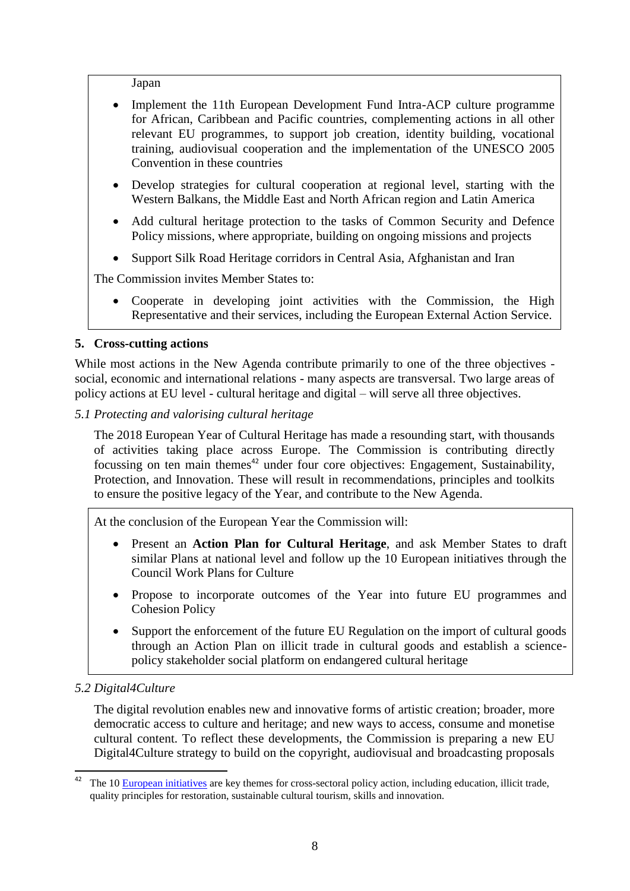Japan

- Implement the 11th European Development Fund Intra-ACP culture programme for African, Caribbean and Pacific countries, complementing actions in all other relevant EU programmes, to support job creation, identity building, vocational training, audiovisual cooperation and the implementation of the UNESCO 2005 Convention in these countries
- Develop strategies for cultural cooperation at regional level, starting with the Western Balkans, the Middle East and North African region and Latin America
- Add cultural heritage protection to the tasks of Common Security and Defence Policy missions, where appropriate, building on ongoing missions and projects
- Support Silk Road Heritage corridors in Central Asia, Afghanistan and Iran

The Commission invites Member States to:

 Cooperate in developing joint activities with the Commission, the High Representative and their services, including the European External Action Service.

## **5. Cross-cutting actions**

While most actions in the New Agenda contribute primarily to one of the three objectives social, economic and international relations - many aspects are transversal. Two large areas of policy actions at EU level - cultural heritage and digital – will serve all three objectives.

### *5.1 Protecting and valorising cultural heritage*

The 2018 European Year of Cultural Heritage has made a resounding start, with thousands of activities taking place across Europe. The Commission is contributing directly focussing on ten main themes $42$  under four core objectives: Engagement, Sustainability, Protection, and Innovation. These will result in recommendations, principles and toolkits to ensure the positive legacy of the Year, and contribute to the New Agenda.

At the conclusion of the European Year the Commission will:

- Present an **Action Plan for Cultural Heritage**, and ask Member States to draft similar Plans at national level and follow up the 10 European initiatives through the Council Work Plans for Culture
- Propose to incorporate outcomes of the Year into future EU programmes and Cohesion Policy
- Support the enforcement of the future EU Regulation on the import of cultural goods through an Action Plan on illicit trade in cultural goods and establish a sciencepolicy stakeholder social platform on endangered cultural heritage

## *5.2 Digital4Culture*

The digital revolution enables new and innovative forms of artistic creation; broader, more democratic access to culture and heritage; and new ways to access, consume and monetise cultural content. To reflect these developments, the Commission is preparing a new EU Digital4Culture strategy to build on the copyright, audiovisual and broadcasting proposals

<sup>42</sup> The 1[0 European initiatives](https://europa.eu/cultural-heritage/sites/eych/files/eych-initiatives_en.pdf) are key themes for cross-sectoral policy action, including education, illicit trade, quality principles for restoration, sustainable cultural tourism, skills and innovation.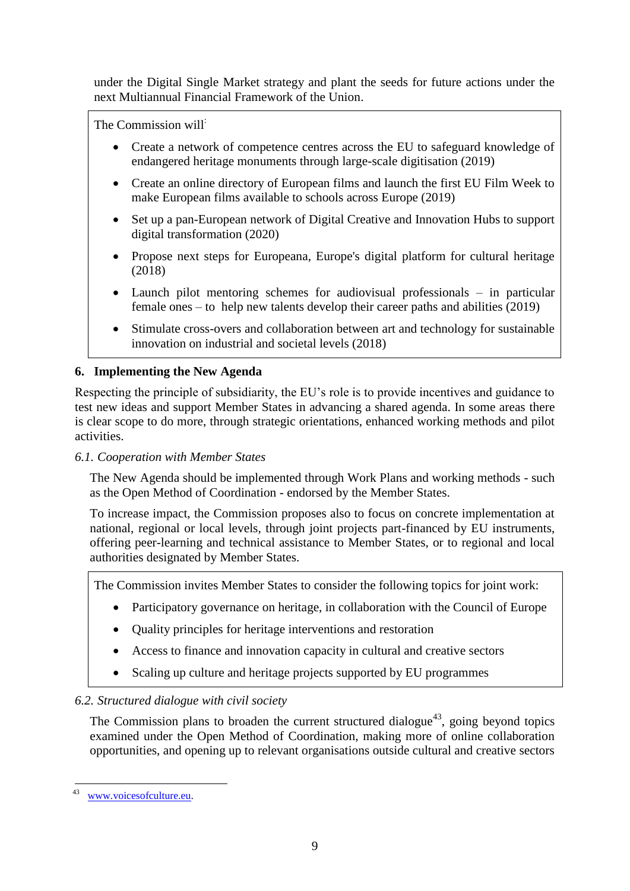under the Digital Single Market strategy and plant the seeds for future actions under the next Multiannual Financial Framework of the Union.

The Commission will:

- Create a network of competence centres across the EU to safeguard knowledge of endangered heritage monuments through large-scale digitisation (2019)
- Create an online directory of European films and launch the first EU Film Week to make European films available to schools across Europe (2019)
- Set up a pan-European network of Digital Creative and Innovation Hubs to support digital transformation (2020)
- Propose next steps for Europeana, Europe's digital platform for cultural heritage (2018)
- Launch pilot mentoring schemes for audiovisual professionals in particular female ones – to help new talents develop their career paths and abilities (2019)
- Stimulate cross-overs and collaboration between art and technology for sustainable innovation on industrial and societal levels (2018)

# **6. Implementing the New Agenda**

Respecting the principle of subsidiarity, the EU's role is to provide incentives and guidance to test new ideas and support Member States in advancing a shared agenda. In some areas there is clear scope to do more, through strategic orientations, enhanced working methods and pilot activities.

## *6.1. Cooperation with Member States*

The New Agenda should be implemented through Work Plans and working methods - such as the Open Method of Coordination - endorsed by the Member States.

To increase impact, the Commission proposes also to focus on concrete implementation at national, regional or local levels, through joint projects part-financed by EU instruments, offering peer-learning and technical assistance to Member States, or to regional and local authorities designated by Member States.

The Commission invites Member States to consider the following topics for joint work:

- Participatory governance on heritage, in collaboration with the Council of Europe
- Quality principles for heritage interventions and restoration
- Access to finance and innovation capacity in cultural and creative sectors
- Scaling up culture and heritage projects supported by EU programmes

## *6.2. Structured dialogue with civil society*

The Commission plans to broaden the current structured dialogue<sup>43</sup>, going beyond topics examined under the Open Method of Coordination, making more of online collaboration opportunities, and opening up to relevant organisations outside cultural and creative sectors

 $43$ <sup>43</sup> [www.voicesofculture.eu.](http://www.voicesofculture.eu/)